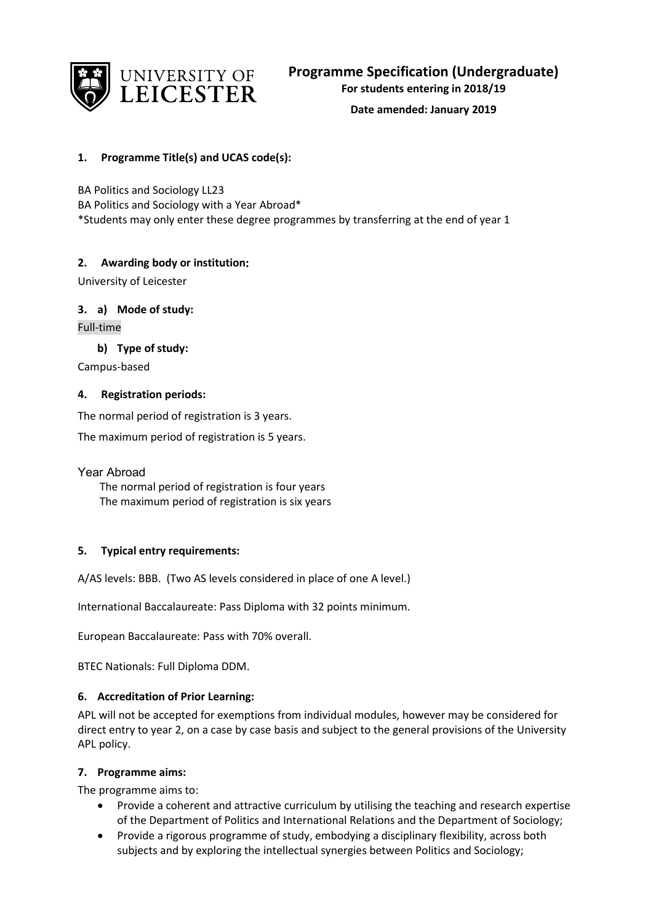

**Date amended: January 2019**

# **1. Programme Title(s) and UCAS code(s):**

BA Politics and Sociology LL23 BA Politics and Sociology with a Year Abroad\* \*Students may only enter these degree programmes by transferring at the end of year 1

# **2. Awarding body or institution:**

University of Leicester

# **3. a) Mode of study:**

Full-time

**b) Type of study:**

Campus-based

### **4. Registration periods:**

The normal period of registration is 3 years.

The maximum period of registration is 5 years.

Year Abroad

 The normal period of registration is four years The maximum period of registration is six years

# **5. Typical entry requirements:**

A/AS levels: BBB. (Two AS levels considered in place of one A level.)

International Baccalaureate: Pass Diploma with 32 points minimum.

European Baccalaureate: Pass with 70% overall.

BTEC Nationals: Full Diploma DDM.

# **6. Accreditation of Prior Learning:**

APL will not be accepted for exemptions from individual modules, however may be considered for direct entry to year 2, on a case by case basis and subject to the general provisions of the University APL policy.

# **7. Programme aims:**

The programme aims to:

- Provide a coherent and attractive curriculum by utilising the teaching and research expertise of the Department of Politics and International Relations and the Department of Sociology;
- Provide a rigorous programme of study, embodying a disciplinary flexibility, across both subjects and by exploring the intellectual synergies between Politics and Sociology;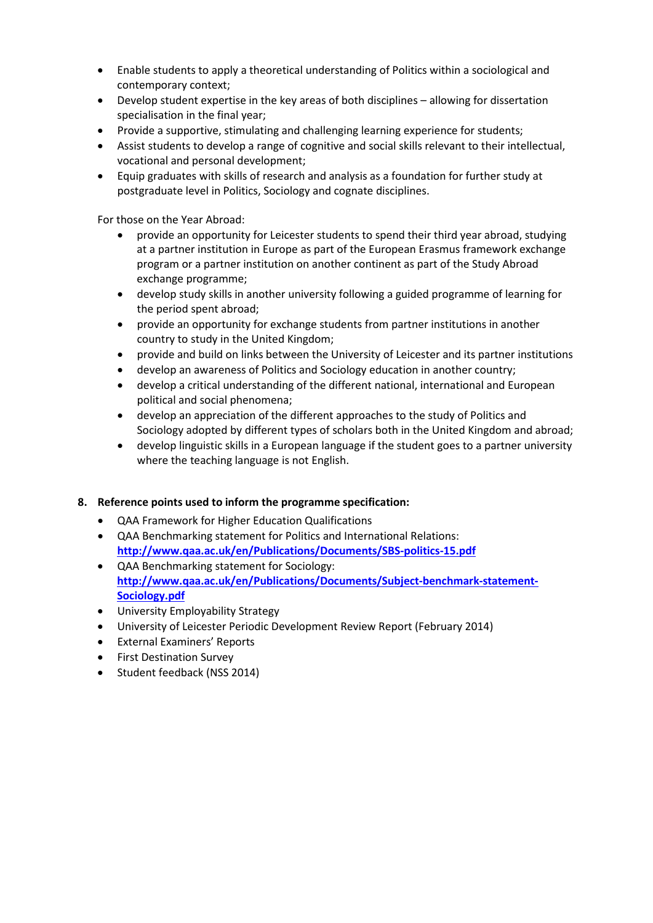- Enable students to apply a theoretical understanding of Politics within a sociological and contemporary context;
- Develop student expertise in the key areas of both disciplines allowing for dissertation specialisation in the final year;
- Provide a supportive, stimulating and challenging learning experience for students;
- Assist students to develop a range of cognitive and social skills relevant to their intellectual, vocational and personal development;
- Equip graduates with skills of research and analysis as a foundation for further study at postgraduate level in Politics, Sociology and cognate disciplines.

For those on the Year Abroad:

- provide an opportunity for Leicester students to spend their third year abroad, studying at a partner institution in Europe as part of the European Erasmus framework exchange program or a partner institution on another continent as part of the Study Abroad exchange programme;
- develop study skills in another university following a guided programme of learning for the period spent abroad;
- provide an opportunity for exchange students from partner institutions in another country to study in the United Kingdom;
- provide and build on links between the University of Leicester and its partner institutions
- develop an awareness of Politics and Sociology education in another country;
- develop a critical understanding of the different national, international and European political and social phenomena;
- develop an appreciation of the different approaches to the study of Politics and Sociology adopted by different types of scholars both in the United Kingdom and abroad;
- develop linguistic skills in a European language if the student goes to a partner university where the teaching language is not English.

# **8. Reference points used to inform the programme specification:**

- QAA Framework for Higher Education Qualifications
- QAA Benchmarking statement for Politics and International Relations: **<http://www.qaa.ac.uk/en/Publications/Documents/SBS-politics-15.pdf>**
- QAA Benchmarking statement for Sociology: **[http://www.qaa.ac.uk/en/Publications/Documents/Subject-benchmark-statement-](http://www.qaa.ac.uk/en/Publications/Documents/Subject-benchmark-statement-Sociology.pdf)[Sociology.pdf](http://www.qaa.ac.uk/en/Publications/Documents/Subject-benchmark-statement-Sociology.pdf)**
- University Employability Strategy
- University of Leicester Periodic Development Review Report (February 2014)
- External Examiners' Reports
- First Destination Survey
- Student feedback (NSS 2014)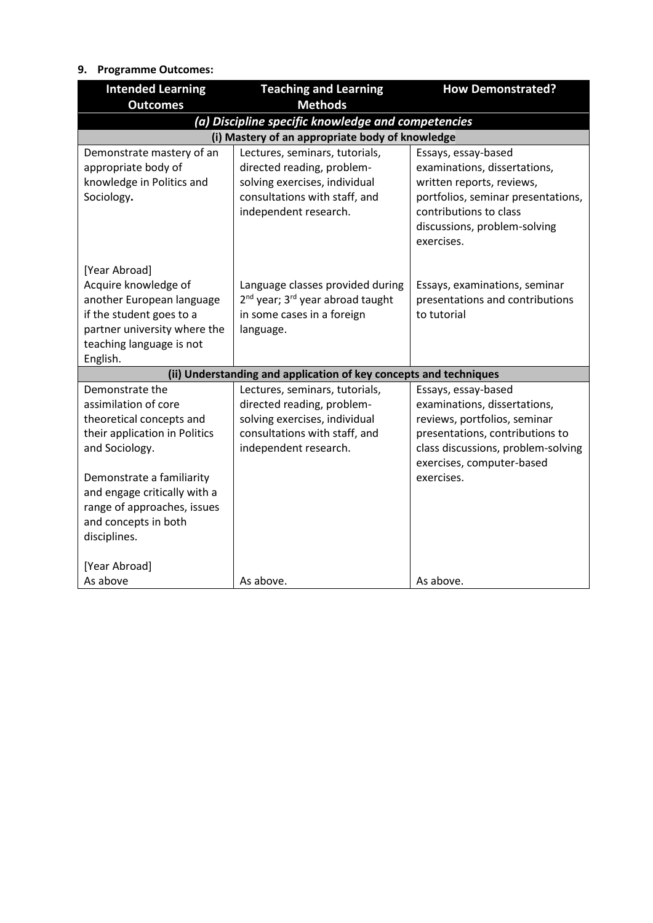# **9. Programme Outcomes:**

| <b>Intended Learning</b><br><b>Outcomes</b>         | <b>Teaching and Learning</b><br><b>Methods</b>                    | <b>How Demonstrated?</b>           |
|-----------------------------------------------------|-------------------------------------------------------------------|------------------------------------|
|                                                     | (a) Discipline specific knowledge and competencies                |                                    |
|                                                     | (i) Mastery of an appropriate body of knowledge                   |                                    |
| Demonstrate mastery of an                           | Lectures, seminars, tutorials,                                    | Essays, essay-based                |
| appropriate body of                                 | directed reading, problem-                                        | examinations, dissertations,       |
| knowledge in Politics and                           | solving exercises, individual                                     | written reports, reviews,          |
| Sociology.                                          | consultations with staff, and                                     | portfolios, seminar presentations, |
|                                                     | independent research.                                             | contributions to class             |
|                                                     |                                                                   | discussions, problem-solving       |
|                                                     |                                                                   | exercises.                         |
| [Year Abroad]                                       |                                                                   |                                    |
| Acquire knowledge of                                | Language classes provided during                                  | Essays, examinations, seminar      |
| another European language                           | 2 <sup>nd</sup> year; 3 <sup>rd</sup> year abroad taught          | presentations and contributions    |
| if the student goes to a                            | in some cases in a foreign                                        | to tutorial                        |
| partner university where the                        | language.                                                         |                                    |
| teaching language is not                            |                                                                   |                                    |
| English.                                            |                                                                   |                                    |
|                                                     | (ii) Understanding and application of key concepts and techniques |                                    |
| Demonstrate the                                     | Lectures, seminars, tutorials,                                    | Essays, essay-based                |
| assimilation of core                                | directed reading, problem-                                        | examinations, dissertations,       |
| theoretical concepts and                            | solving exercises, individual                                     | reviews, portfolios, seminar       |
| their application in Politics                       | consultations with staff, and                                     | presentations, contributions to    |
| and Sociology.                                      | independent research.                                             | class discussions, problem-solving |
|                                                     |                                                                   | exercises, computer-based          |
| Demonstrate a familiarity                           |                                                                   | exercises.                         |
| and engage critically with a                        |                                                                   |                                    |
| range of approaches, issues<br>and concepts in both |                                                                   |                                    |
| disciplines.                                        |                                                                   |                                    |
|                                                     |                                                                   |                                    |
| [Year Abroad]                                       |                                                                   |                                    |
| As above                                            | As above.                                                         | As above.                          |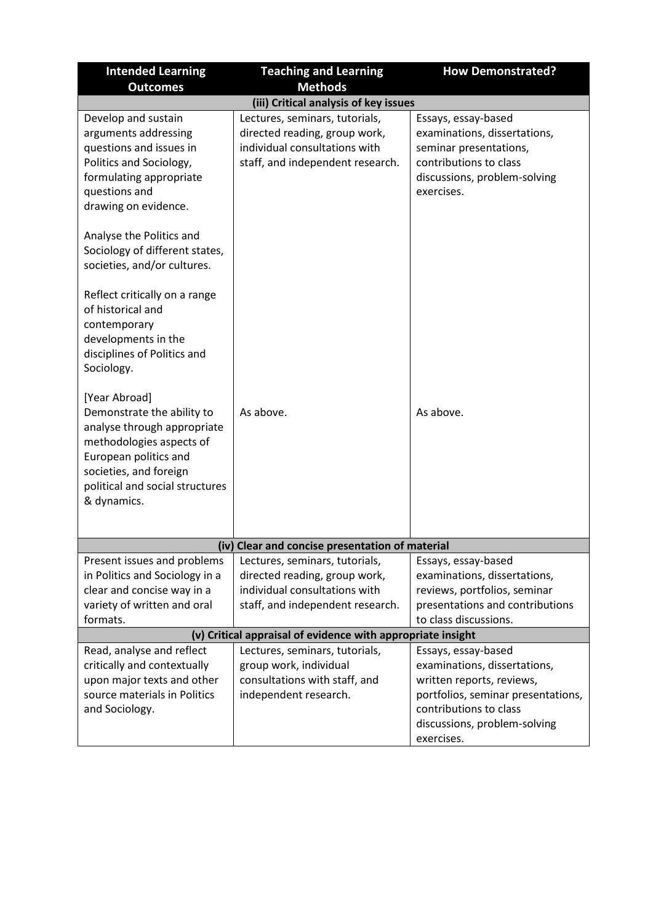| <b>Intended Learning</b>                                                                                                                                                                                    | <b>Teaching and Learning</b>                                                                                                         | <b>How Demonstrated?</b>                                                                                                                              |
|-------------------------------------------------------------------------------------------------------------------------------------------------------------------------------------------------------------|--------------------------------------------------------------------------------------------------------------------------------------|-------------------------------------------------------------------------------------------------------------------------------------------------------|
| <b>Outcomes</b>                                                                                                                                                                                             | <b>Methods</b>                                                                                                                       |                                                                                                                                                       |
|                                                                                                                                                                                                             | (iii) Critical analysis of key issues                                                                                                |                                                                                                                                                       |
| Develop and sustain<br>arguments addressing<br>questions and issues in<br>Politics and Sociology,<br>formulating appropriate<br>questions and<br>drawing on evidence.                                       | Lectures, seminars, tutorials,<br>directed reading, group work,<br>individual consultations with<br>staff, and independent research. | Essays, essay-based<br>examinations, dissertations,<br>seminar presentations,<br>contributions to class<br>discussions, problem-solving<br>exercises. |
| Analyse the Politics and<br>Sociology of different states,<br>societies, and/or cultures.                                                                                                                   |                                                                                                                                      |                                                                                                                                                       |
| Reflect critically on a range<br>of historical and<br>contemporary<br>developments in the<br>disciplines of Politics and<br>Sociology.                                                                      |                                                                                                                                      |                                                                                                                                                       |
| [Year Abroad]<br>Demonstrate the ability to<br>analyse through appropriate<br>methodologies aspects of<br>European politics and<br>societies, and foreign<br>political and social structures<br>& dynamics. | As above.                                                                                                                            | As above.                                                                                                                                             |
|                                                                                                                                                                                                             | (iv) Clear and concise presentation of material                                                                                      |                                                                                                                                                       |
| Present issues and problems                                                                                                                                                                                 | Lectures, seminars, tutorials,                                                                                                       | Essays, essay-based                                                                                                                                   |
| in Politics and Sociology in a                                                                                                                                                                              | directed reading, group work,                                                                                                        | examinations, dissertations,                                                                                                                          |
| clear and concise way in a                                                                                                                                                                                  | individual consultations with                                                                                                        | reviews, portfolios, seminar                                                                                                                          |
| variety of written and oral                                                                                                                                                                                 | staff, and independent research.                                                                                                     | presentations and contributions                                                                                                                       |
| formats.                                                                                                                                                                                                    |                                                                                                                                      | to class discussions.                                                                                                                                 |
|                                                                                                                                                                                                             | (v) Critical appraisal of evidence with appropriate insight                                                                          |                                                                                                                                                       |
| Read, analyse and reflect                                                                                                                                                                                   | Lectures, seminars, tutorials,                                                                                                       | Essays, essay-based                                                                                                                                   |
| critically and contextually                                                                                                                                                                                 | group work, individual                                                                                                               | examinations, dissertations,                                                                                                                          |
| upon major texts and other                                                                                                                                                                                  | consultations with staff, and                                                                                                        | written reports, reviews,                                                                                                                             |
| source materials in Politics<br>and Sociology.                                                                                                                                                              | independent research.                                                                                                                | portfolios, seminar presentations,<br>contributions to class                                                                                          |
|                                                                                                                                                                                                             |                                                                                                                                      | discussions, problem-solving                                                                                                                          |
|                                                                                                                                                                                                             |                                                                                                                                      | exercises.                                                                                                                                            |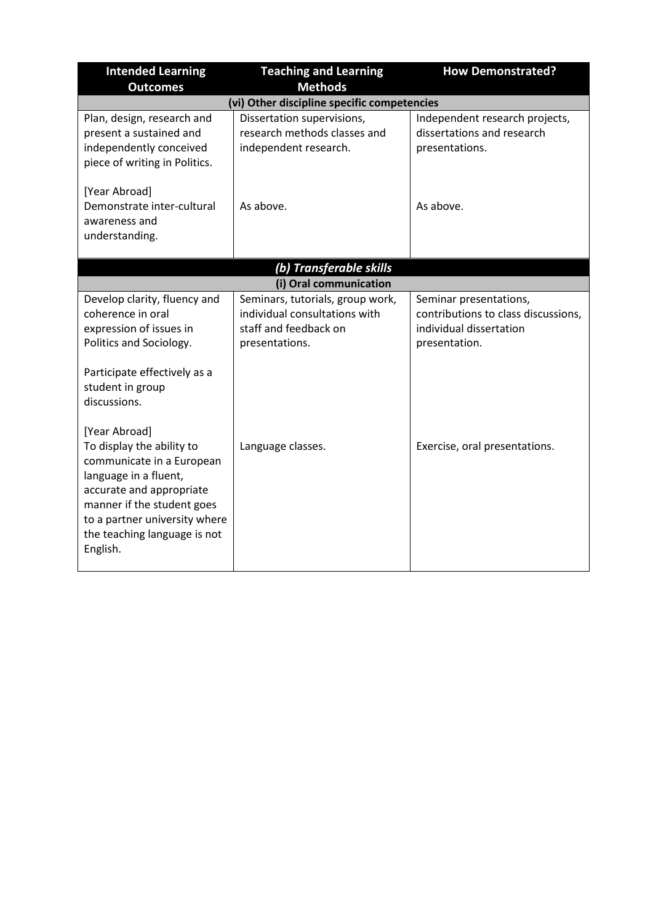| <b>Intended Learning</b><br><b>Outcomes</b>                                                                                                                                                                                             | <b>Teaching and Learning</b><br><b>Methods</b>                                                               | <b>How Demonstrated?</b>                                                                                  |
|-----------------------------------------------------------------------------------------------------------------------------------------------------------------------------------------------------------------------------------------|--------------------------------------------------------------------------------------------------------------|-----------------------------------------------------------------------------------------------------------|
|                                                                                                                                                                                                                                         | (vi) Other discipline specific competencies                                                                  |                                                                                                           |
| Plan, design, research and<br>present a sustained and<br>independently conceived<br>piece of writing in Politics.                                                                                                                       | Dissertation supervisions,<br>research methods classes and<br>independent research.                          | Independent research projects,<br>dissertations and research<br>presentations.                            |
| [Year Abroad]<br>Demonstrate inter-cultural<br>awareness and<br>understanding.                                                                                                                                                          | As above.                                                                                                    | As above.                                                                                                 |
|                                                                                                                                                                                                                                         | (b) Transferable skills                                                                                      |                                                                                                           |
|                                                                                                                                                                                                                                         | (i) Oral communication                                                                                       |                                                                                                           |
| Develop clarity, fluency and<br>coherence in oral<br>expression of issues in<br>Politics and Sociology.<br>Participate effectively as a<br>student in group<br>discussions.                                                             | Seminars, tutorials, group work,<br>individual consultations with<br>staff and feedback on<br>presentations. | Seminar presentations,<br>contributions to class discussions,<br>individual dissertation<br>presentation. |
| [Year Abroad]<br>To display the ability to<br>communicate in a European<br>language in a fluent,<br>accurate and appropriate<br>manner if the student goes<br>to a partner university where<br>the teaching language is not<br>English. | Language classes.                                                                                            | Exercise, oral presentations.                                                                             |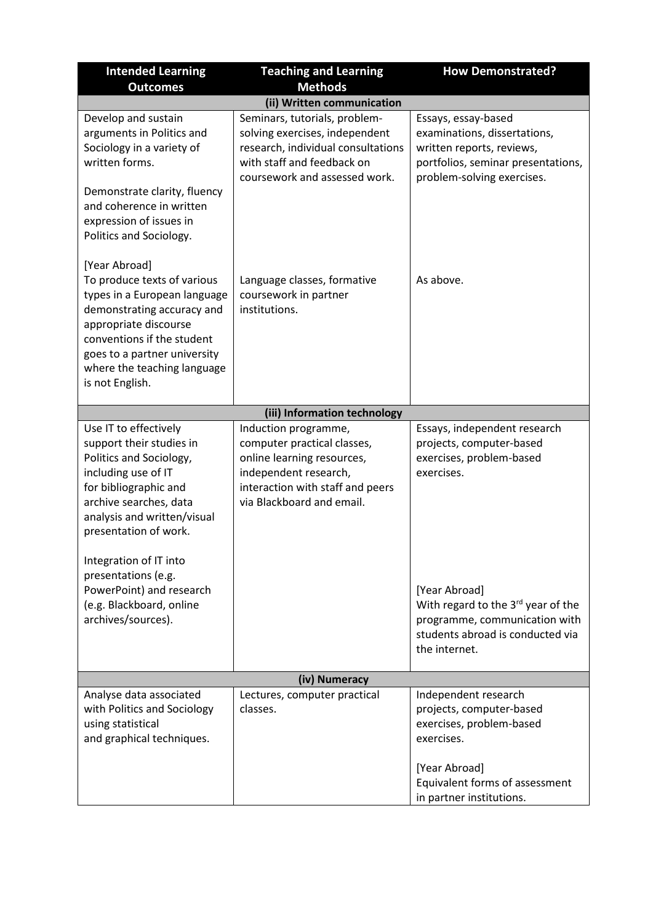| <b>Intended Learning</b>                                                                                                                                                                                                                                                                                                                                                                                                                                                 | <b>Teaching and Learning</b>                                                                                                                                                                                                                                                | <b>How Demonstrated?</b>                                                                                                                                          |
|--------------------------------------------------------------------------------------------------------------------------------------------------------------------------------------------------------------------------------------------------------------------------------------------------------------------------------------------------------------------------------------------------------------------------------------------------------------------------|-----------------------------------------------------------------------------------------------------------------------------------------------------------------------------------------------------------------------------------------------------------------------------|-------------------------------------------------------------------------------------------------------------------------------------------------------------------|
| <b>Outcomes</b>                                                                                                                                                                                                                                                                                                                                                                                                                                                          | <b>Methods</b>                                                                                                                                                                                                                                                              |                                                                                                                                                                   |
| Develop and sustain<br>arguments in Politics and<br>Sociology in a variety of<br>written forms.<br>Demonstrate clarity, fluency<br>and coherence in written<br>expression of issues in<br>Politics and Sociology.<br>[Year Abroad]<br>To produce texts of various<br>types in a European language<br>demonstrating accuracy and<br>appropriate discourse<br>conventions if the student<br>goes to a partner university<br>where the teaching language<br>is not English. | (ii) Written communication<br>Seminars, tutorials, problem-<br>solving exercises, independent<br>research, individual consultations<br>with staff and feedback on<br>coursework and assessed work.<br>Language classes, formative<br>coursework in partner<br>institutions. | Essays, essay-based<br>examinations, dissertations,<br>written reports, reviews,<br>portfolios, seminar presentations,<br>problem-solving exercises.<br>As above. |
|                                                                                                                                                                                                                                                                                                                                                                                                                                                                          |                                                                                                                                                                                                                                                                             |                                                                                                                                                                   |
|                                                                                                                                                                                                                                                                                                                                                                                                                                                                          | (iii) Information technology                                                                                                                                                                                                                                                |                                                                                                                                                                   |
| Use IT to effectively<br>support their studies in<br>Politics and Sociology,<br>including use of IT<br>for bibliographic and<br>archive searches, data<br>analysis and written/visual<br>presentation of work.<br>Integration of IT into<br>presentations (e.g.<br>PowerPoint) and research                                                                                                                                                                              | Induction programme,<br>computer practical classes,<br>online learning resources,<br>independent research,<br>interaction with staff and peers<br>via Blackboard and email.                                                                                                 | Essays, independent research<br>projects, computer-based<br>exercises, problem-based<br>exercises.<br>[Year Abroad]                                               |
| (e.g. Blackboard, online<br>archives/sources).                                                                                                                                                                                                                                                                                                                                                                                                                           |                                                                                                                                                                                                                                                                             | With regard to the 3 <sup>rd</sup> year of the<br>programme, communication with<br>students abroad is conducted via<br>the internet.                              |
|                                                                                                                                                                                                                                                                                                                                                                                                                                                                          | (iv) Numeracy                                                                                                                                                                                                                                                               |                                                                                                                                                                   |
| Analyse data associated<br>with Politics and Sociology<br>using statistical<br>and graphical techniques.                                                                                                                                                                                                                                                                                                                                                                 | Lectures, computer practical<br>classes.                                                                                                                                                                                                                                    | Independent research<br>projects, computer-based<br>exercises, problem-based<br>exercises.<br>[Year Abroad]<br>Equivalent forms of assessment                     |
|                                                                                                                                                                                                                                                                                                                                                                                                                                                                          |                                                                                                                                                                                                                                                                             | in partner institutions.                                                                                                                                          |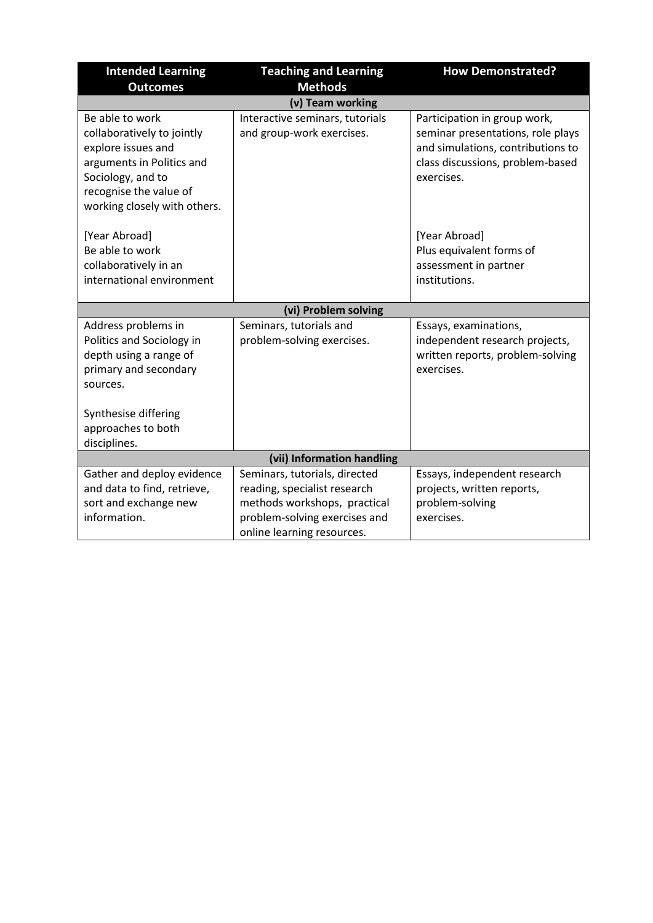| <b>Intended Learning</b><br><b>Outcomes</b>                                                                                                                                     | <b>Teaching and Learning</b><br><b>Methods</b>                                                                                                               | <b>How Demonstrated?</b>                                                                                                                                 |
|---------------------------------------------------------------------------------------------------------------------------------------------------------------------------------|--------------------------------------------------------------------------------------------------------------------------------------------------------------|----------------------------------------------------------------------------------------------------------------------------------------------------------|
|                                                                                                                                                                                 | (v) Team working                                                                                                                                             |                                                                                                                                                          |
| Be able to work<br>collaboratively to jointly<br>explore issues and<br>arguments in Politics and<br>Sociology, and to<br>recognise the value of<br>working closely with others. | Interactive seminars, tutorials<br>and group-work exercises.                                                                                                 | Participation in group work,<br>seminar presentations, role plays<br>and simulations, contributions to<br>class discussions, problem-based<br>exercises. |
| [Year Abroad]<br>Be able to work<br>collaboratively in an<br>international environment                                                                                          |                                                                                                                                                              | [Year Abroad]<br>Plus equivalent forms of<br>assessment in partner<br>institutions.                                                                      |
|                                                                                                                                                                                 | (vi) Problem solving                                                                                                                                         |                                                                                                                                                          |
| Address problems in<br>Politics and Sociology in<br>depth using a range of<br>primary and secondary<br>sources.                                                                 | Seminars, tutorials and<br>problem-solving exercises.                                                                                                        | Essays, examinations,<br>independent research projects,<br>written reports, problem-solving<br>exercises.                                                |
| Synthesise differing<br>approaches to both<br>disciplines.                                                                                                                      |                                                                                                                                                              |                                                                                                                                                          |
|                                                                                                                                                                                 | (vii) Information handling                                                                                                                                   |                                                                                                                                                          |
| Gather and deploy evidence<br>and data to find, retrieve,<br>sort and exchange new<br>information.                                                                              | Seminars, tutorials, directed<br>reading, specialist research<br>methods workshops, practical<br>problem-solving exercises and<br>online learning resources. | Essays, independent research<br>projects, written reports,<br>problem-solving<br>exercises.                                                              |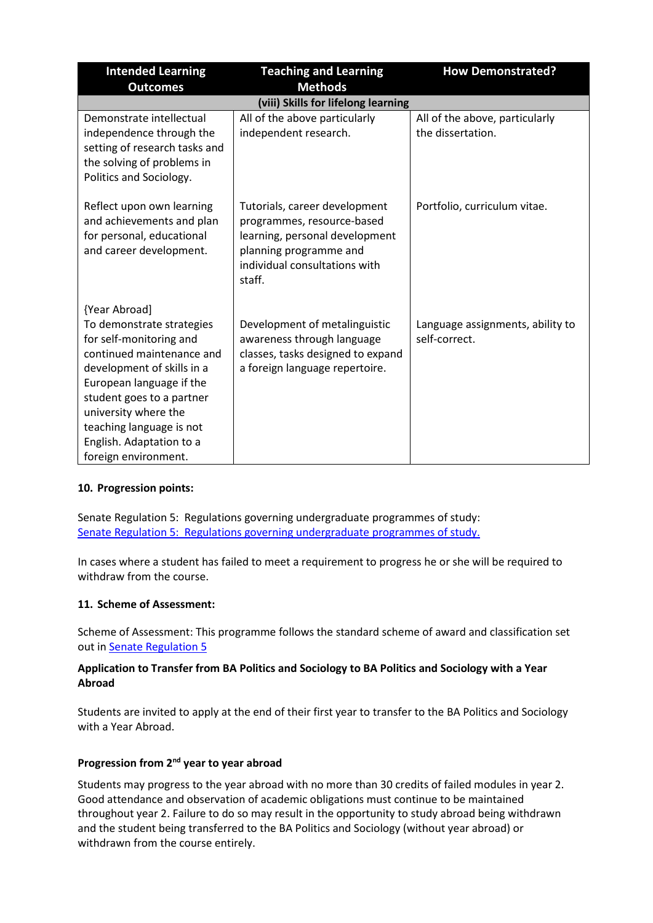| <b>Intended Learning</b>                                                                                                                                                                                                                                                                          | <b>Teaching and Learning</b>                                                                                                                                       | <b>How Demonstrated?</b>                            |
|---------------------------------------------------------------------------------------------------------------------------------------------------------------------------------------------------------------------------------------------------------------------------------------------------|--------------------------------------------------------------------------------------------------------------------------------------------------------------------|-----------------------------------------------------|
| <b>Outcomes</b>                                                                                                                                                                                                                                                                                   | <b>Methods</b>                                                                                                                                                     |                                                     |
|                                                                                                                                                                                                                                                                                                   | (viii) Skills for lifelong learning                                                                                                                                |                                                     |
| Demonstrate intellectual<br>independence through the<br>setting of research tasks and<br>the solving of problems in<br>Politics and Sociology.                                                                                                                                                    | All of the above particularly<br>independent research.                                                                                                             | All of the above, particularly<br>the dissertation. |
| Reflect upon own learning<br>and achievements and plan<br>for personal, educational<br>and career development.                                                                                                                                                                                    | Tutorials, career development<br>programmes, resource-based<br>learning, personal development<br>planning programme and<br>individual consultations with<br>staff. | Portfolio, curriculum vitae.                        |
| {Year Abroad]<br>To demonstrate strategies<br>for self-monitoring and<br>continued maintenance and<br>development of skills in a<br>European language if the<br>student goes to a partner<br>university where the<br>teaching language is not<br>English. Adaptation to a<br>foreign environment. | Development of metalinguistic<br>awareness through language<br>classes, tasks designed to expand<br>a foreign language repertoire.                                 | Language assignments, ability to<br>self-correct.   |

# **10. Progression points:**

Senate Regulation 5: Regulations governing undergraduate programmes of study: [Senate Regulation 5: Regulations governing undergraduate programmes of study.](http://www2.le.ac.uk/offices/sas2/regulations/documents/senatereg5-undergraduates.pdf)

In cases where a student has failed to meet a requirement to progress he or she will be required to withdraw from the course.

### **11. Scheme of Assessment:**

Scheme of Assessment: This programme follows the standard scheme of award and classification set out i[n Senate Regulation 5](http://www2.le.ac.uk/offices/sas2/regulations/documents/senatereg5-undergraduates.pdf)

### **Application to Transfer from BA Politics and Sociology to BA Politics and Sociology with a Year Abroad**

Students are invited to apply at the end of their first year to transfer to the BA Politics and Sociology with a Year Abroad.

### **Progression from 2nd year to year abroad**

Students may progress to the year abroad with no more than 30 credits of failed modules in year 2. Good attendance and observation of academic obligations must continue to be maintained throughout year 2. Failure to do so may result in the opportunity to study abroad being withdrawn and the student being transferred to the BA Politics and Sociology (without year abroad) or withdrawn from the course entirely.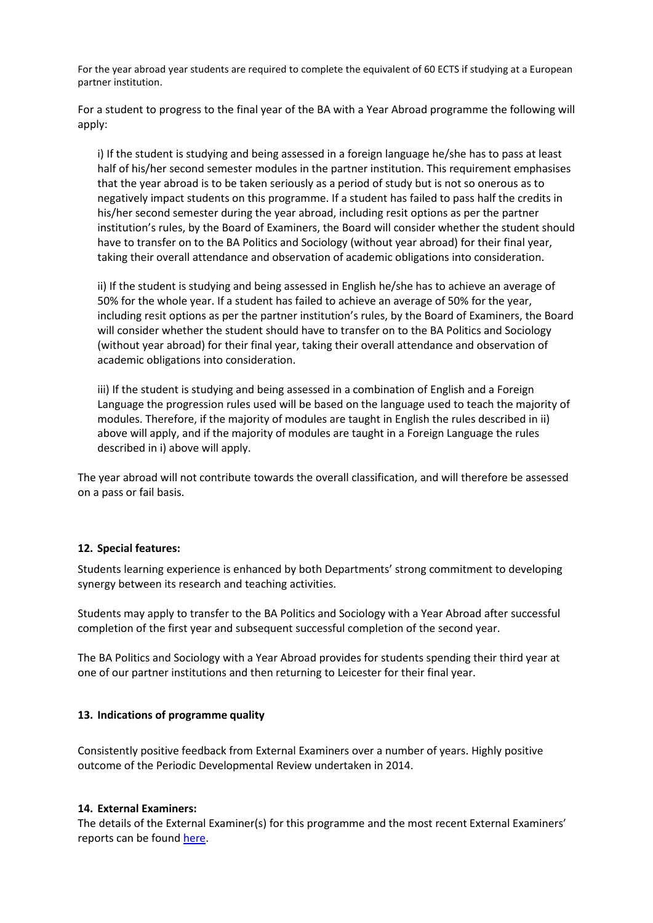For the year abroad year students are required to complete the equivalent of 60 ECTS if studying at a European partner institution.

For a student to progress to the final year of the BA with a Year Abroad programme the following will apply:

i) If the student is studying and being assessed in a foreign language he/she has to pass at least half of his/her second semester modules in the partner institution. This requirement emphasises that the year abroad is to be taken seriously as a period of study but is not so onerous as to negatively impact students on this programme. If a student has failed to pass half the credits in his/her second semester during the year abroad, including resit options as per the partner institution's rules, by the Board of Examiners, the Board will consider whether the student should have to transfer on to the BA Politics and Sociology (without year abroad) for their final year, taking their overall attendance and observation of academic obligations into consideration.

ii) If the student is studying and being assessed in English he/she has to achieve an average of 50% for the whole year. If a student has failed to achieve an average of 50% for the year, including resit options as per the partner institution's rules, by the Board of Examiners, the Board will consider whether the student should have to transfer on to the BA Politics and Sociology (without year abroad) for their final year, taking their overall attendance and observation of academic obligations into consideration.

iii) If the student is studying and being assessed in a combination of English and a Foreign Language the progression rules used will be based on the language used to teach the majority of modules. Therefore, if the majority of modules are taught in English the rules described in ii) above will apply, and if the majority of modules are taught in a Foreign Language the rules described in i) above will apply.

The year abroad will not contribute towards the overall classification, and will therefore be assessed on a pass or fail basis.

### **12. Special features:**

Students learning experience is enhanced by both Departments' strong commitment to developing synergy between its research and teaching activities.

Students may apply to transfer to the BA Politics and Sociology with a Year Abroad after successful completion of the first year and subsequent successful completion of the second year.

The BA Politics and Sociology with a Year Abroad provides for students spending their third year at one of our partner institutions and then returning to Leicester for their final year.

#### **13. Indications of programme quality**

Consistently positive feedback from External Examiners over a number of years. Highly positive outcome of the Periodic Developmental Review undertaken in 2014.

#### **14. External Examiners:**

The details of the External Examiner(s) for this programme and the most recent External Examiners' reports can be found [here.](https://exampapers.le.ac.uk/xmlui/handle/123456789/227)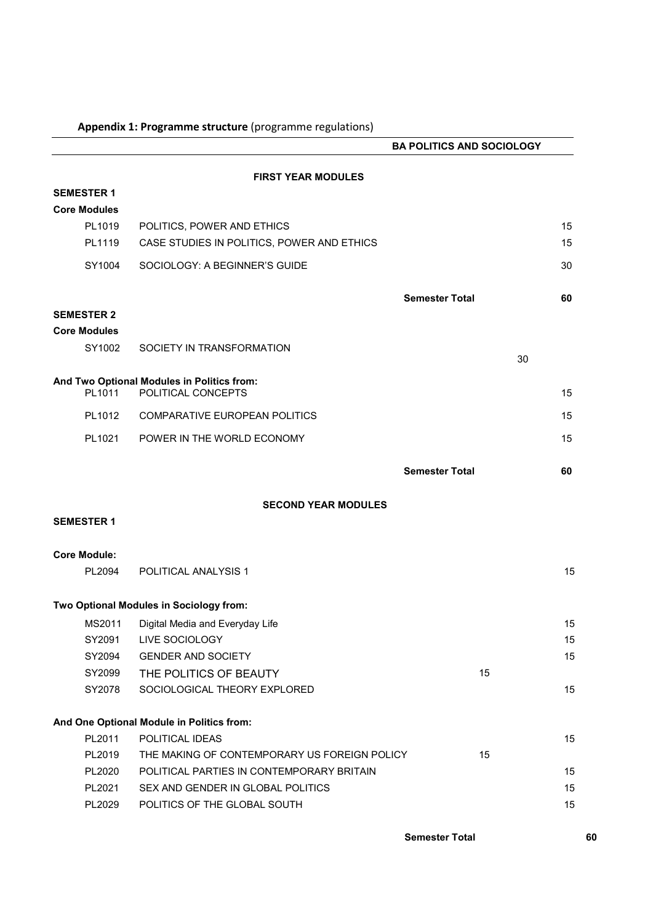|                     |                                              | <b>BA POLITICS AND SOCIOLOGY</b> |    |
|---------------------|----------------------------------------------|----------------------------------|----|
|                     | <b>FIRST YEAR MODULES</b>                    |                                  |    |
| <b>SEMESTER 1</b>   |                                              |                                  |    |
| <b>Core Modules</b> |                                              |                                  |    |
| PL1019              | POLITICS, POWER AND ETHICS                   |                                  | 15 |
| PL1119              | CASE STUDIES IN POLITICS, POWER AND ETHICS   |                                  | 15 |
| SY1004              | SOCIOLOGY: A BEGINNER'S GUIDE                |                                  | 30 |
|                     |                                              | <b>Semester Total</b>            | 60 |
| <b>SEMESTER 2</b>   |                                              |                                  |    |
| <b>Core Modules</b> |                                              |                                  |    |
| SY1002              | SOCIETY IN TRANSFORMATION                    | 30                               |    |
|                     | And Two Optional Modules in Politics from:   |                                  |    |
| PL1011              | POLITICAL CONCEPTS                           |                                  | 15 |
| PL1012              | COMPARATIVE EUROPEAN POLITICS                |                                  | 15 |
| PL1021              | POWER IN THE WORLD ECONOMY                   |                                  | 15 |
|                     |                                              | <b>Semester Total</b>            | 60 |
|                     | <b>SECOND YEAR MODULES</b>                   |                                  |    |
| <b>SEMESTER 1</b>   |                                              |                                  |    |
|                     |                                              |                                  |    |
| <b>Core Module:</b> |                                              |                                  |    |
| PL2094              | POLITICAL ANALYSIS 1                         |                                  | 15 |
|                     | Two Optional Modules in Sociology from:      |                                  |    |
|                     | MS2011 Digital Media and Everyday Life       |                                  | 15 |
| SY2091              | LIVE SOCIOLOGY                               |                                  | 15 |
| SY2094              | <b>GENDER AND SOCIETY</b>                    |                                  | 15 |
| SY2099              | THE POLITICS OF BEAUTY                       | 15                               |    |
| SY2078              | SOCIOLOGICAL THEORY EXPLORED                 |                                  | 15 |
|                     | And One Optional Module in Politics from:    |                                  |    |
| PL2011              | POLITICAL IDEAS                              |                                  | 15 |
| PL2019              | THE MAKING OF CONTEMPORARY US FOREIGN POLICY | 15                               |    |
| PL2020              | POLITICAL PARTIES IN CONTEMPORARY BRITAIN    |                                  | 15 |
| PL2021              | SEX AND GENDER IN GLOBAL POLITICS            |                                  | 15 |
| PL2029              | POLITICS OF THE GLOBAL SOUTH                 |                                  | 15 |
|                     |                                              |                                  |    |

### **Appendix 1: Programme structure** (programme regulations)

**Semester Total 60**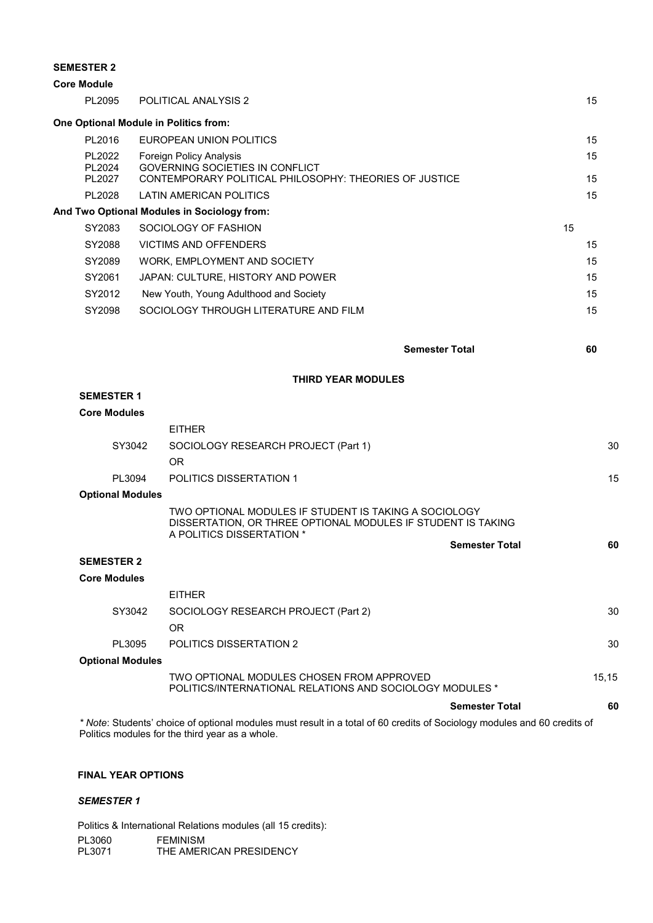#### **SEMESTER 2**

| <b>Core Module</b> |                            |                                                                                                                             |          |
|--------------------|----------------------------|-----------------------------------------------------------------------------------------------------------------------------|----------|
|                    | PL2095                     | POLITICAL ANALYSIS 2                                                                                                        | 15       |
|                    |                            | One Optional Module in Politics from:                                                                                       |          |
|                    | PL2016                     | EUROPEAN UNION POLITICS                                                                                                     | 15       |
|                    | PL2022<br>PL2024<br>PL2027 | Foreign Policy Analysis<br><b>GOVERNING SOCIETIES IN CONFLICT</b><br>CONTEMPORARY POLITICAL PHILOSOPHY: THEORIES OF JUSTICE | 15<br>15 |
|                    | PL2028                     | LATIN AMERICAN POLITICS                                                                                                     | 15       |
|                    |                            | And Two Optional Modules in Sociology from:                                                                                 |          |
|                    | SY2083                     | SOCIOLOGY OF FASHION<br>15                                                                                                  |          |
|                    | SY2088                     | <b>VICTIMS AND OFFENDERS</b>                                                                                                | 15       |
|                    | SY2089                     | WORK, EMPLOYMENT AND SOCIETY                                                                                                | 15       |
|                    | SY2061                     | JAPAN: CULTURE, HISTORY AND POWER                                                                                           | 15       |
|                    | SY2012                     | New Youth, Young Adulthood and Society                                                                                      | 15       |
|                    | SY2098                     | SOCIOLOGY THROUGH LITERATURE AND FILM                                                                                       | 15       |

**THIRD YEAR MODULES**

**Semester Total 60**

### **SEMESTER 1**

| <b>Core Modules</b>     |                                                                                                                                                    |                       |    |
|-------------------------|----------------------------------------------------------------------------------------------------------------------------------------------------|-----------------------|----|
|                         | <b>FITHER</b>                                                                                                                                      |                       |    |
| SY3042                  | SOCIOLOGY RESEARCH PROJECT (Part 1)                                                                                                                |                       | 30 |
|                         | 0R                                                                                                                                                 |                       |    |
| PI 3094                 | <b>POLITICS DISSERTATION 1</b>                                                                                                                     |                       | 15 |
| <b>Optional Modules</b> |                                                                                                                                                    |                       |    |
|                         | TWO OPTIONAL MODULES IF STUDENT IS TAKING A SOCIOLOGY<br>DISSERTATION, OR THREE OPTIONAL MODULES IF STUDENT IS TAKING<br>A POLITICS DISSERTATION * |                       |    |
|                         |                                                                                                                                                    | <b>Semester Total</b> | 60 |

### **SEMESTER 2**

#### **Core Modules**

|                         | <b>FITHER</b>                                                   |       |
|-------------------------|-----------------------------------------------------------------|-------|
| SY3042                  | SOCIOLOGY RESEARCH PROJECT (Part 2)                             | 30    |
|                         | OR                                                              |       |
| PI 3095                 | POLITICS DISSERTATION 2                                         | 30    |
| <b>Optional Modules</b> |                                                                 |       |
|                         | TWO OPTIONAL MODULES CHOSEN FROM APPROVED                       | 15.15 |
|                         | <b>POLITICS/INTERNATIONAL RELATIONS AND SOCIOLOGY MODULES *</b> |       |

**Semester Total 60** *\* Note*: Students' choice of optional modules must result in a total of 60 credits of Sociology modules and 60 credits of Politics modules for the third year as a whole.

#### **FINAL YEAR OPTIONS**

#### *SEMESTER 1*

Politics & International Relations modules (all 15 credits): PL3060 FEMINISM<br>PL3071 THE AMER THE AMERICAN PRESIDENCY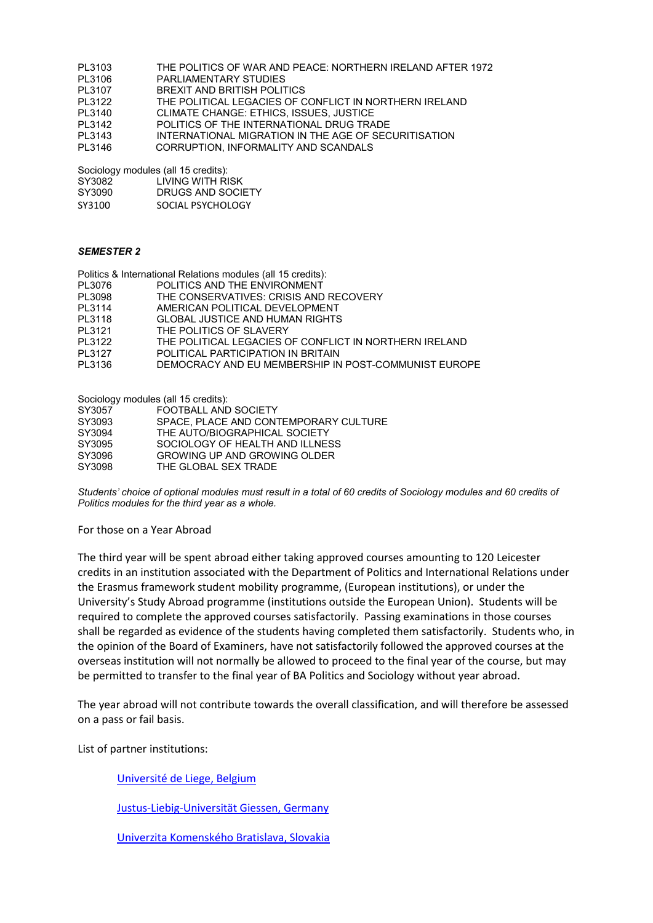- PL3103 THE POLITICS OF WAR AND PEACE: NORTHERN IRELAND AFTER 1972
- PL3106 PARLIAMENTARY STUDIES<br>PL3107 BREXIT AND BRITISH POLIT
- PL3107 BREXIT AND BRITISH POLITICS<br>PL3122 THE POLITICAL LEGACIES OF C
- PL3122 THE POLITICAL LEGACIES OF CONFLICT IN NORTHERN IRELAND<br>PL3140 CLIMATE CHANGE: ETHICS, ISSUES, JUSTICE CLIMATE CHANGE: ETHICS, ISSUES, JUSTICE
- PL3142 POLITICS OF THE INTERNATIONAL DRUG TRADE
- PL3143 INTERNATIONAL MIGRATION IN THE AGE OF SECURITISATION
- PL3146 CORRUPTION, INFORMALITY AND SCANDALS

Sociology modules (all 15 credits):

| SY3090<br>DRUGS AND SOCIETY |  |
|-----------------------------|--|

SY3100 SOCIAL PSYCHOLOGY

#### *SEMESTER 2*

|        | Politics & International Relations modules (all 15 credits): |
|--------|--------------------------------------------------------------|
| PL3076 | POLITICS AND THE ENVIRONMENT                                 |
| PL3098 | THE CONSERVATIVES: CRISIS AND RECOVERY                       |
| PL3114 | AMERICAN POLITICAL DEVELOPMENT                               |
| PL3118 | <b>GLOBAL JUSTICE AND HUMAN RIGHTS</b>                       |
| PL3121 | THE POLITICS OF SLAVERY                                      |
| PL3122 | THE POLITICAL LEGACIES OF CONFLICT IN NORTHERN IRELAND       |
| PL3127 | POLITICAL PARTICIPATION IN BRITAIN                           |
| PL3136 | DEMOCRACY AND EU MEMBERSHIP IN POST-COMMUNIST EUROPE         |

Sociology modules (all 15 credits):

| SY3057 | FOOTBALL AND SOCIETY                  |
|--------|---------------------------------------|
| SY3093 | SPACE, PLACE AND CONTEMPORARY CULTURE |
| SY3094 | THE AUTO/BIOGRAPHICAL SOCIETY         |
| SY3095 | SOCIOLOGY OF HEALTH AND ILLNESS       |
| SY3096 | GROWING UP AND GROWING OLDER          |
| SY3098 | THE GLOBAL SEX TRADE                  |
|        |                                       |

*Students' choice of optional modules must result in a total of 60 credits of Sociology modules and 60 credits of Politics modules for the third year as a whole.*

#### For those on a Year Abroad

The third year will be spent abroad either taking approved courses amounting to 120 Leicester credits in an institution associated with the Department of Politics and International Relations under the Erasmus framework student mobility programme, (European institutions), or under the University's Study Abroad programme (institutions outside the European Union). Students will be required to complete the approved courses satisfactorily. Passing examinations in those courses shall be regarded as evidence of the students having completed them satisfactorily. Students who, in the opinion of the Board of Examiners, have not satisfactorily followed the approved courses at the overseas institution will not normally be allowed to proceed to the final year of the course, but may be permitted to transfer to the final year of BA Politics and Sociology without year abroad.

The year abroad will not contribute towards the overall classification, and will therefore be assessed on a pass or fail basis.

List of partner institutions:

[Université de Liege, Belgium](https://www.ulg.ac.be/cms/c_5000/en/home)

[Justus-Liebig-Universität Giessen, Germany](http://www.uni-giessen.de/) 

[Univerzita Komenského](http://www.uniba.sk/) Bratislava, Slovakia